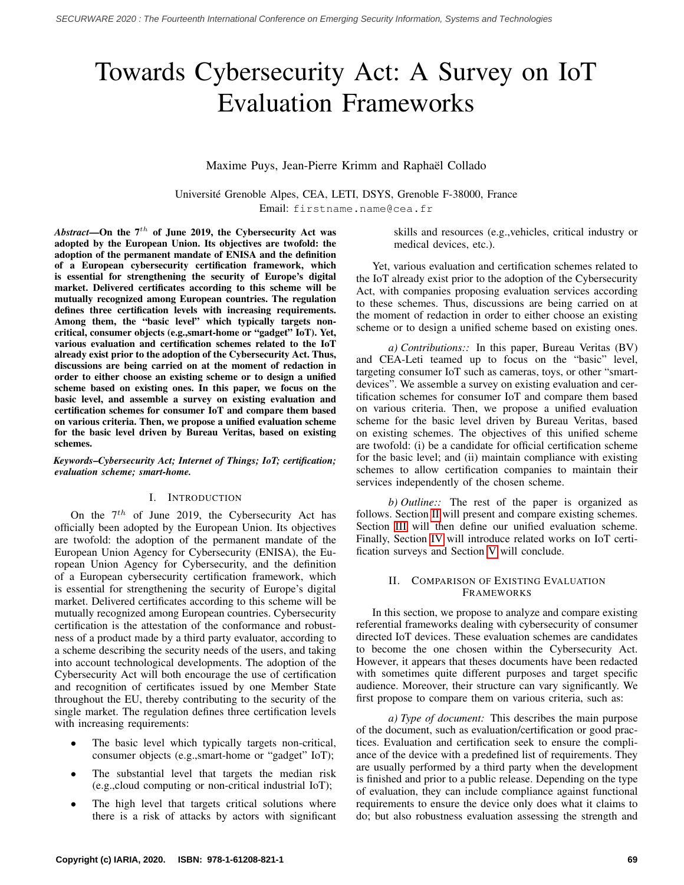# Towards Cybersecurity Act: A Survey on IoT Evaluation Frameworks

# Maxime Puys, Jean-Pierre Krimm and Raphael Collado ¨

Universite Grenoble Alpes, CEA, LETI, DSYS, Grenoble F-38000, France ´ Email: firstname.name@cea.fr

*Abstract*—On the  $7<sup>th</sup>$  of June 2019, the Cybersecurity Act was adopted by the European Union. Its objectives are twofold: the adoption of the permanent mandate of ENISA and the definition of a European cybersecurity certification framework, which is essential for strengthening the security of Europe's digital market. Delivered certificates according to this scheme will be mutually recognized among European countries. The regulation defines three certification levels with increasing requirements. Among them, the "basic level" which typically targets noncritical, consumer objects (e.g.,smart-home or "gadget" IoT). Yet, various evaluation and certification schemes related to the IoT already exist prior to the adoption of the Cybersecurity Act. Thus, discussions are being carried on at the moment of redaction in order to either choose an existing scheme or to design a unified scheme based on existing ones. In this paper, we focus on the basic level, and assemble a survey on existing evaluation and certification schemes for consumer IoT and compare them based on various criteria. Then, we propose a unified evaluation scheme for the basic level driven by Bureau Veritas, based on existing schemes.

*Keywords*–*Cybersecurity Act; Internet of Things; IoT; certification; evaluation scheme; smart-home.*

## I. INTRODUCTION

On the  $7<sup>th</sup>$  of June 2019, the Cybersecurity Act has officially been adopted by the European Union. Its objectives are twofold: the adoption of the permanent mandate of the European Union Agency for Cybersecurity (ENISA), the European Union Agency for Cybersecurity, and the definition of a European cybersecurity certification framework, which is essential for strengthening the security of Europe's digital market. Delivered certificates according to this scheme will be mutually recognized among European countries. Cybersecurity certification is the attestation of the conformance and robustness of a product made by a third party evaluator, according to a scheme describing the security needs of the users, and taking into account technological developments. The adoption of the Cybersecurity Act will both encourage the use of certification and recognition of certificates issued by one Member State throughout the EU, thereby contributing to the security of the single market. The regulation defines three certification levels with increasing requirements:

- The basic level which typically targets non-critical, consumer objects (e.g.,smart-home or "gadget" IoT);
- The substantial level that targets the median risk (e.g.,cloud computing or non-critical industrial IoT);
- The high level that targets critical solutions where there is a risk of attacks by actors with significant

skills and resources (e.g.,vehicles, critical industry or medical devices, etc.).

Yet, various evaluation and certification schemes related to the IoT already exist prior to the adoption of the Cybersecurity Act, with companies proposing evaluation services according to these schemes. Thus, discussions are being carried on at the moment of redaction in order to either choose an existing scheme or to design a unified scheme based on existing ones.

*a) Contributions::* In this paper, Bureau Veritas (BV) and CEA-Leti teamed up to focus on the "basic" level, targeting consumer IoT such as cameras, toys, or other "smartdevices". We assemble a survey on existing evaluation and certification schemes for consumer IoT and compare them based on various criteria. Then, we propose a unified evaluation scheme for the basic level driven by Bureau Veritas, based on existing schemes. The objectives of this unified scheme are twofold: (i) be a candidate for official certification scheme for the basic level; and (ii) maintain compliance with existing schemes to allow certification companies to maintain their services independently of the chosen scheme.

*b) Outline::* The rest of the paper is organized as follows. Section [II](#page-0-0) will present and compare existing schemes. Section [III](#page-2-0) will then define our unified evaluation scheme. Finally, Section [IV](#page-4-0) will introduce related works on IoT certification surveys and Section [V](#page-4-1) will conclude.

## <span id="page-0-0"></span>II. COMPARISON OF EXISTING EVALUATION FRAMEWORKS

In this section, we propose to analyze and compare existing referential frameworks dealing with cybersecurity of consumer directed IoT devices. These evaluation schemes are candidates to become the one chosen within the Cybersecurity Act. However, it appears that theses documents have been redacted with sometimes quite different purposes and target specific audience. Moreover, their structure can vary significantly. We first propose to compare them on various criteria, such as:

*a) Type of document:* This describes the main purpose of the document, such as evaluation/certification or good practices. Evaluation and certification seek to ensure the compliance of the device with a predefined list of requirements. They are usually performed by a third party when the development is finished and prior to a public release. Depending on the type of evaluation, they can include compliance against functional requirements to ensure the device only does what it claims to do; but also robustness evaluation assessing the strength and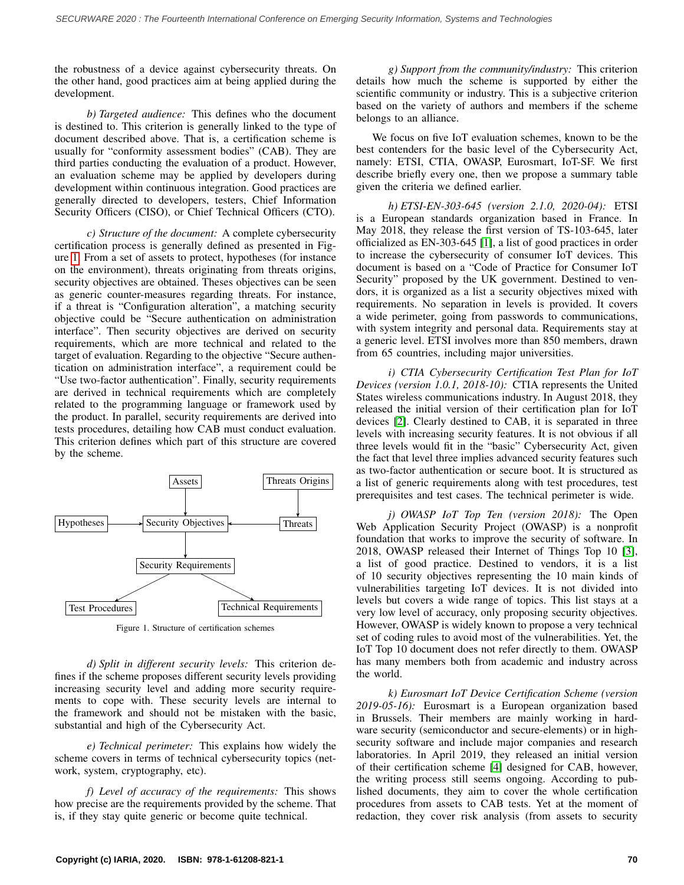the robustness of a device against cybersecurity threats. On the other hand, good practices aim at being applied during the development.

*b) Targeted audience:* This defines who the document is destined to. This criterion is generally linked to the type of document described above. That is, a certification scheme is usually for "conformity assessment bodies" (CAB). They are third parties conducting the evaluation of a product. However, an evaluation scheme may be applied by developers during development within continuous integration. Good practices are generally directed to developers, testers, Chief Information Security Officers (CISO), or Chief Technical Officers (CTO).

*c) Structure of the document:* A complete cybersecurity certification process is generally defined as presented in Figure [1.](#page-1-0) From a set of assets to protect, hypotheses (for instance on the environment), threats originating from threats origins, security objectives are obtained. Theses objectives can be seen as generic counter-measures regarding threats. For instance, if a threat is "Configuration alteration", a matching security objective could be "Secure authentication on administration interface". Then security objectives are derived on security requirements, which are more technical and related to the target of evaluation. Regarding to the objective "Secure authentication on administration interface", a requirement could be "Use two-factor authentication". Finally, security requirements are derived in technical requirements which are completely related to the programming language or framework used by the product. In parallel, security requirements are derived into tests procedures, detailing how CAB must conduct evaluation. This criterion defines which part of this structure are covered by the scheme.

<span id="page-1-0"></span>

Figure 1. Structure of certification schemes

*d) Split in different security levels:* This criterion defines if the scheme proposes different security levels providing increasing security level and adding more security requirements to cope with. These security levels are internal to the framework and should not be mistaken with the basic, substantial and high of the Cybersecurity Act.

*e) Technical perimeter:* This explains how widely the scheme covers in terms of technical cybersecurity topics (network, system, cryptography, etc).

*f) Level of accuracy of the requirements:* This shows how precise are the requirements provided by the scheme. That is, if they stay quite generic or become quite technical.

*g) Support from the community/industry:* This criterion details how much the scheme is supported by either the scientific community or industry. This is a subjective criterion based on the variety of authors and members if the scheme belongs to an alliance.

We focus on five IoT evaluation schemes, known to be the best contenders for the basic level of the Cybersecurity Act, namely: ETSI, CTIA, OWASP, Eurosmart, IoT-SF. We first describe briefly every one, then we propose a summary table given the criteria we defined earlier.

*h) ETSI-EN-303-645 (version 2.1.0, 2020-04):* ETSI is a European standards organization based in France. In May 2018, they release the first version of TS-103-645, later officialized as EN-303-645 [\[1\]](#page-5-0), a list of good practices in order to increase the cybersecurity of consumer IoT devices. This document is based on a "Code of Practice for Consumer IoT Security" proposed by the UK government. Destined to vendors, it is organized as a list a security objectives mixed with requirements. No separation in levels is provided. It covers a wide perimeter, going from passwords to communications, with system integrity and personal data. Requirements stay at a generic level. ETSI involves more than 850 members, drawn from 65 countries, including major universities.

*i) CTIA Cybersecurity Certification Test Plan for IoT Devices (version 1.0.1, 2018-10):* CTIA represents the United States wireless communications industry. In August 2018, they released the initial version of their certification plan for IoT devices [\[2\]](#page-5-1). Clearly destined to CAB, it is separated in three levels with increasing security features. It is not obvious if all three levels would fit in the "basic" Cybersecurity Act, given the fact that level three implies advanced security features such as two-factor authentication or secure boot. It is structured as a list of generic requirements along with test procedures, test prerequisites and test cases. The technical perimeter is wide.

*j) OWASP IoT Top Ten (version 2018):* The Open Web Application Security Project (OWASP) is a nonprofit foundation that works to improve the security of software. In 2018, OWASP released their Internet of Things Top 10 [\[3\]](#page-5-2), a list of good practice. Destined to vendors, it is a list of 10 security objectives representing the 10 main kinds of vulnerabilities targeting IoT devices. It is not divided into levels but covers a wide range of topics. This list stays at a very low level of accuracy, only proposing security objectives. However, OWASP is widely known to propose a very technical set of coding rules to avoid most of the vulnerabilities. Yet, the IoT Top 10 document does not refer directly to them. OWASP has many members both from academic and industry across the world.

*k) Eurosmart IoT Device Certification Scheme (version 2019-05-16):* Eurosmart is a European organization based in Brussels. Their members are mainly working in hardware security (semiconductor and secure-elements) or in highsecurity software and include major companies and research laboratories. In April 2019, they released an initial version of their certification scheme [\[4\]](#page-5-3) designed for CAB, however, the writing process still seems ongoing. According to published documents, they aim to cover the whole certification procedures from assets to CAB tests. Yet at the moment of redaction, they cover risk analysis (from assets to security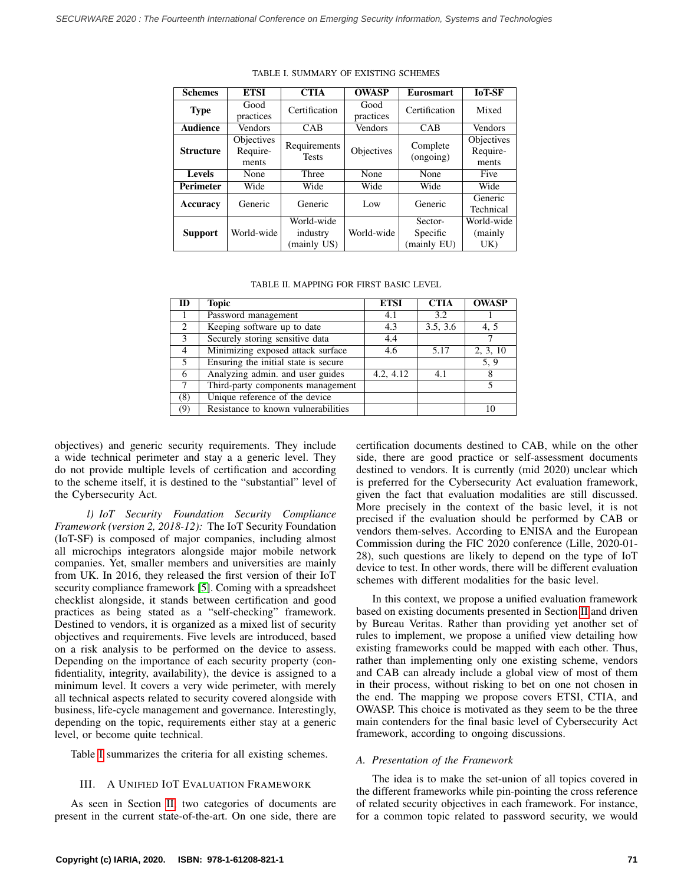<span id="page-2-1"></span>

| <b>Schemes</b>   | <b>ETSI</b>                            | <b>CTIA</b>                           | <b>OWASP</b>      | <b>Eurosmart</b>                   | <b>IoT-SF</b>                   |
|------------------|----------------------------------------|---------------------------------------|-------------------|------------------------------------|---------------------------------|
| <b>Type</b>      | Good<br>practices                      | Certification                         | Good<br>practices | Certification                      | Mixed                           |
| <b>Audience</b>  | <b>Vendors</b>                         | CAB                                   | Vendors           | CAB                                | Vendors                         |
| <b>Structure</b> | <b>Objectives</b><br>Require-<br>ments | Requirements<br><b>Tests</b>          | Objectives        | Complete<br>(ongoing)              | Objectives<br>Require-<br>ments |
| <b>Levels</b>    | None                                   | Three                                 | None              | None                               | Five                            |
| <b>Perimeter</b> | Wide                                   | Wide                                  | Wide              | Wide                               | Wide                            |
| Accuracy         | Generic                                | Generic                               | Low               | Generic                            | Generic<br>Technical            |
| <b>Support</b>   | World-wide                             | World-wide<br>industry<br>(mainly US) | World-wide        | Sector-<br>Specific<br>(mainly EU) | World-wide<br>(mainly<br>UK)    |

TABLE I. SUMMARY OF EXISTING SCHEMES

#### TABLE II. MAPPING FOR FIRST BASIC LEVEL

<span id="page-2-2"></span>

| ID             | Topic                                | <b>ETSI</b> | <b>CTIA</b> | <b>OWASP</b> |
|----------------|--------------------------------------|-------------|-------------|--------------|
|                | Password management                  | 4.1         | 3.2         |              |
| 2              | Keeping software up to date          | 4.3         | 3.5, 3.6    | 4, 5         |
| 3              | Securely storing sensitive data      | 4.4         |             |              |
| $\overline{4}$ | Minimizing exposed attack surface    | 4.6         | 5.17        | 2, 3, 10     |
| .5             | Ensuring the initial state is secure |             |             | 5.9          |
| 6              | Analyzing admin. and user guides     | 4.2, 4.12   | 4.1         |              |
|                | Third-party components management    |             |             |              |
| (8)            | Unique reference of the device       |             |             |              |
| (9)            | Resistance to known vulnerabilities  |             |             | 10           |

objectives) and generic security requirements. They include a wide technical perimeter and stay a a generic level. They do not provide multiple levels of certification and according to the scheme itself, it is destined to the "substantial" level of the Cybersecurity Act.

*l) IoT Security Foundation Security Compliance Framework (version 2, 2018-12):* The IoT Security Foundation (IoT-SF) is composed of major companies, including almost all microchips integrators alongside major mobile network companies. Yet, smaller members and universities are mainly from UK. In 2016, they released the first version of their IoT security compliance framework [\[5\]](#page-5-4). Coming with a spreadsheet checklist alongside, it stands between certification and good practices as being stated as a "self-checking" framework. Destined to vendors, it is organized as a mixed list of security objectives and requirements. Five levels are introduced, based on a risk analysis to be performed on the device to assess. Depending on the importance of each security property (confidentiality, integrity, availability), the device is assigned to a minimum level. It covers a very wide perimeter, with merely all technical aspects related to security covered alongside with business, life-cycle management and governance. Interestingly, depending on the topic, requirements either stay at a generic level, or become quite technical.

<span id="page-2-0"></span>Table [I](#page-2-1) summarizes the criteria for all existing schemes.

#### III. A UNIFIED IOT EVALUATION FRAMEWORK

As seen in Section [II,](#page-0-0) two categories of documents are present in the current state-of-the-art. On one side, there are certification documents destined to CAB, while on the other side, there are good practice or self-assessment documents destined to vendors. It is currently (mid 2020) unclear which is preferred for the Cybersecurity Act evaluation framework, given the fact that evaluation modalities are still discussed. More precisely in the context of the basic level, it is not precised if the evaluation should be performed by CAB or vendors them-selves. According to ENISA and the European Commission during the FIC 2020 conference (Lille, 2020-01- 28), such questions are likely to depend on the type of IoT device to test. In other words, there will be different evaluation schemes with different modalities for the basic level.

In this context, we propose a unified evaluation framework based on existing documents presented in Section [II](#page-0-0) and driven by Bureau Veritas. Rather than providing yet another set of rules to implement, we propose a unified view detailing how existing frameworks could be mapped with each other. Thus, rather than implementing only one existing scheme, vendors and CAB can already include a global view of most of them in their process, without risking to bet on one not chosen in the end. The mapping we propose covers ETSI, CTIA, and OWASP. This choice is motivated as they seem to be the three main contenders for the final basic level of Cybersecurity Act framework, according to ongoing discussions.

### *A. Presentation of the Framework*

The idea is to make the set-union of all topics covered in the different frameworks while pin-pointing the cross reference of related security objectives in each framework. For instance, for a common topic related to password security, we would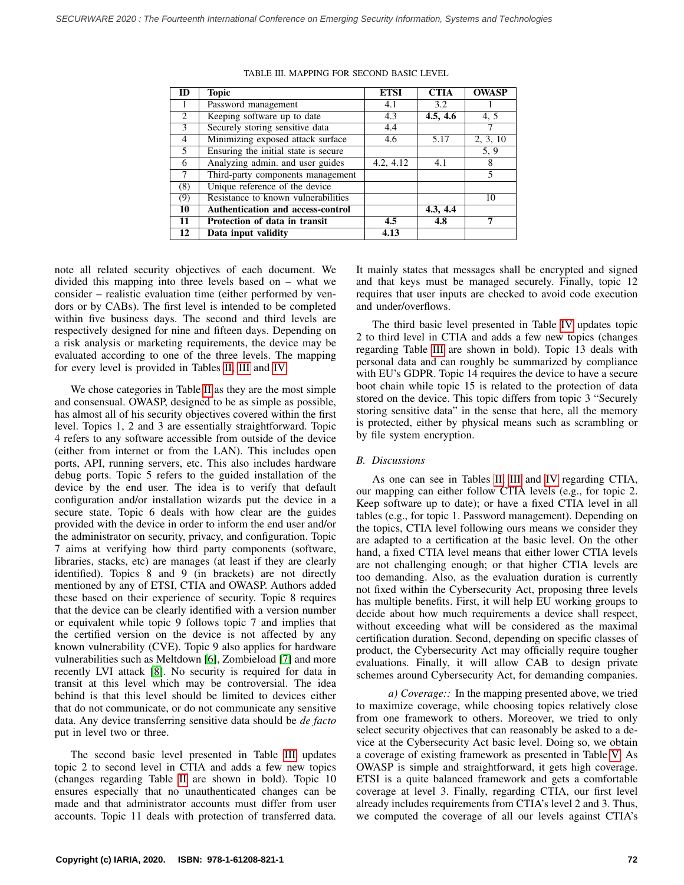<span id="page-3-0"></span>

| ID             | <b>Topic</b>                         | <b>ETSI</b> | <b>CTIA</b> | <b>OWASP</b> |
|----------------|--------------------------------------|-------------|-------------|--------------|
| 1              | Password management                  | 4.1         | 3.2         |              |
| 2              | Keeping software up to date          | 4.3         | 4.5, 4.6    | 4, 5         |
| 3              | Securely storing sensitive data      | 4.4         |             |              |
| $\overline{4}$ | Minimizing exposed attack surface    | 4.6         | 5.17        | 2, 3, 10     |
| 5              | Ensuring the initial state is secure |             |             | 5.9          |
| 6              | Analyzing admin. and user guides     | 4.2, 4.12   | 4.1         | 8            |
| $\overline{7}$ | Third-party components management    |             |             | 5            |
| (8)            | Unique reference of the device       |             |             |              |
| (9)            | Resistance to known vulnerabilities  |             |             | 10           |
| 10             | Authentication and access-control    |             | 4.3, 4.4    |              |
| 11             | Protection of data in transit        | 4.5         | 4.8         |              |
| 12             | Data input validity                  | 4.13        |             |              |

TABLE III. MAPPING FOR SECOND BASIC LEVEL

note all related security objectives of each document. We divided this mapping into three levels based on – what we consider – realistic evaluation time (either performed by vendors or by CABs). The first level is intended to be completed within five business days. The second and third levels are respectively designed for nine and fifteen days. Depending on a risk analysis or marketing requirements, the device may be evaluated according to one of the three levels. The mapping for every level is provided in Tables [II,](#page-2-2) [III](#page-3-0) and [IV.](#page-4-2)

We chose categories in Table [II](#page-2-2) as they are the most simple and consensual. OWASP, designed to be as simple as possible, has almost all of his security objectives covered within the first level. Topics 1, 2 and 3 are essentially straightforward. Topic 4 refers to any software accessible from outside of the device (either from internet or from the LAN). This includes open ports, API, running servers, etc. This also includes hardware debug ports. Topic 5 refers to the guided installation of the device by the end user. The idea is to verify that default configuration and/or installation wizards put the device in a secure state. Topic 6 deals with how clear are the guides provided with the device in order to inform the end user and/or the administrator on security, privacy, and configuration. Topic 7 aims at verifying how third party components (software, libraries, stacks, etc) are manages (at least if they are clearly identified). Topics 8 and 9 (in brackets) are not directly mentioned by any of ETSI, CTIA and OWASP. Authors added these based on their experience of security. Topic 8 requires that the device can be clearly identified with a version number or equivalent while topic 9 follows topic 7 and implies that the certified version on the device is not affected by any known vulnerability (CVE). Topic 9 also applies for hardware vulnerabilities such as Meltdown [\[6\]](#page-5-5), Zombieload [\[7\]](#page-5-6) and more recently LVI attack [\[8\]](#page-5-7). No security is required for data in transit at this level which may be controversial. The idea behind is that this level should be limited to devices either that do not communicate, or do not communicate any sensitive data. Any device transferring sensitive data should be *de facto* put in level two or three.

The second basic level presented in Table [III](#page-3-0) updates topic 2 to second level in CTIA and adds a few new topics (changes regarding Table [II](#page-2-2) are shown in bold). Topic 10 ensures especially that no unauthenticated changes can be made and that administrator accounts must differ from user accounts. Topic 11 deals with protection of transferred data. It mainly states that messages shall be encrypted and signed and that keys must be managed securely. Finally, topic 12 requires that user inputs are checked to avoid code execution and under/overflows.

The third basic level presented in Table [IV](#page-4-2) updates topic 2 to third level in CTIA and adds a few new topics (changes regarding Table [III](#page-3-0) are shown in bold). Topic 13 deals with personal data and can roughly be summarized by compliance with EU's GDPR. Topic 14 requires the device to have a secure boot chain while topic 15 is related to the protection of data stored on the device. This topic differs from topic 3 "Securely storing sensitive data" in the sense that here, all the memory is protected, either by physical means such as scrambling or by file system encryption.

## *B. Discussions*

As one can see in Tables [II,](#page-2-2) [III](#page-3-0) and [IV](#page-4-2) regarding CTIA, our mapping can either follow CTIA levels (e.g., for topic 2. Keep software up to date); or have a fixed CTIA level in all tables (e.g., for topic 1. Password management). Depending on the topics, CTIA level following ours means we consider they are adapted to a certification at the basic level. On the other hand, a fixed CTIA level means that either lower CTIA levels are not challenging enough; or that higher CTIA levels are too demanding. Also, as the evaluation duration is currently not fixed within the Cybersecurity Act, proposing three levels has multiple benefits. First, it will help EU working groups to decide about how much requirements a device shall respect, without exceeding what will be considered as the maximal certification duration. Second, depending on specific classes of product, the Cybersecurity Act may officially require tougher evaluations. Finally, it will allow CAB to design private schemes around Cybersecurity Act, for demanding companies.

*a) Coverage::* In the mapping presented above, we tried to maximize coverage, while choosing topics relatively close from one framework to others. Moreover, we tried to only select security objectives that can reasonably be asked to a device at the Cybersecurity Act basic level. Doing so, we obtain a coverage of existing framework as presented in Table [V.](#page-4-3) As OWASP is simple and straightforward, it gets high coverage. ETSI is a quite balanced framework and gets a comfortable coverage at level 3. Finally, regarding CTIA, our first level already includes requirements from CTIA's level 2 and 3. Thus, we computed the coverage of all our levels against CTIA's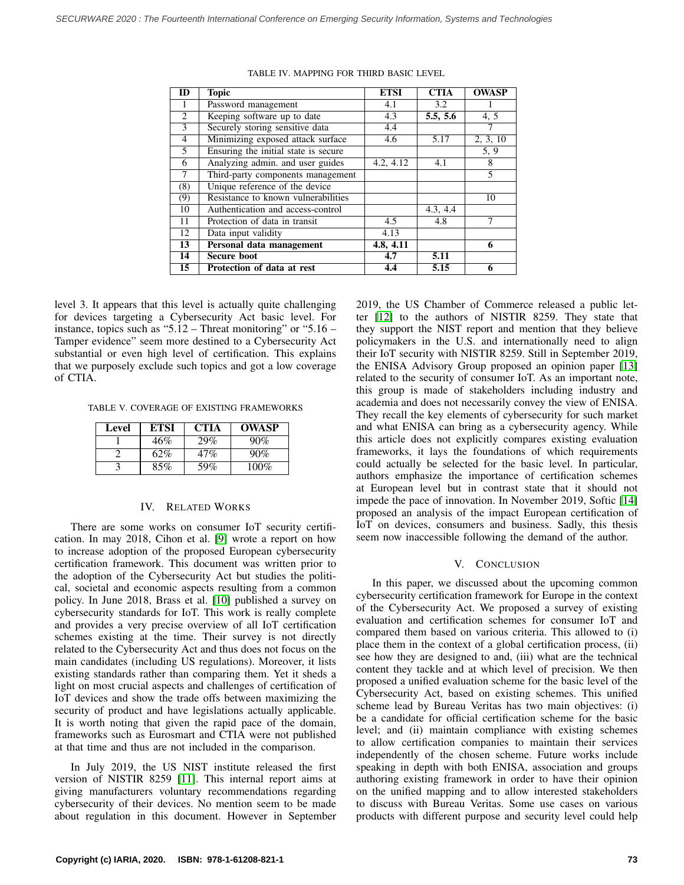<span id="page-4-2"></span>

| ID             | <b>Topic</b>                         | <b>ETSI</b> | <b>CTIA</b> | <b>OWASP</b> |
|----------------|--------------------------------------|-------------|-------------|--------------|
| 1              | Password management                  | 4.1         | 3.2         |              |
| 2              | Keeping software up to date          | 4.3         | 5.5, 5.6    | 4, 5         |
| $\overline{3}$ | Securely storing sensitive data      | 4.4         |             |              |
| $\overline{4}$ | Minimizing exposed attack surface    | 4.6         | 5.17        | 2, 3, 10     |
| 5              | Ensuring the initial state is secure |             |             | 5.9          |
| 6              | Analyzing admin. and user guides     | 4.2, 4.12   | 4.1         | 8            |
| 7              | Third-party components management    |             |             | 5            |
| (8)            | Unique reference of the device       |             |             |              |
| (9)            | Resistance to known vulnerabilities  |             |             | 10           |
| 10             | Authentication and access-control    |             | 4.3, 4.4    |              |
| 11             | Protection of data in transit        | 4.5         | 4.8         |              |
| 12             | Data input validity                  | 4.13        |             |              |
| 13             | Personal data management             | 4.8, 4.11   |             | 6            |
| 14             | <b>Secure boot</b>                   | 4.7         | 5.11        |              |
| 15             | Protection of data at rest           | 4.4         | 5.15        | 6            |

TABLE IV. MAPPING FOR THIRD BASIC LEVEL

level 3. It appears that this level is actually quite challenging for devices targeting a Cybersecurity Act basic level. For instance, topics such as "5.12 – Threat monitoring" or "5.16 – Tamper evidence" seem more destined to a Cybersecurity Act substantial or even high level of certification. This explains that we purposely exclude such topics and got a low coverage of CTIA.

<span id="page-4-3"></span>TABLE V. COVERAGE OF EXISTING FRAMEWORKS

| Level | ETSI | <b>CTIA</b> | <b>OWASP</b> |
|-------|------|-------------|--------------|
|       | 46%  | 29%         | 90%          |
|       | 62%  | 47%         | 90%          |
|       | 85%  | 59%         | 100%         |

## IV. RELATED WORKS

<span id="page-4-0"></span>There are some works on consumer IoT security certification. In may 2018, Cihon et al. [\[9\]](#page-5-8) wrote a report on how to increase adoption of the proposed European cybersecurity certification framework. This document was written prior to the adoption of the Cybersecurity Act but studies the political, societal and economic aspects resulting from a common policy. In June 2018, Brass et al. [\[10\]](#page-5-9) published a survey on cybersecurity standards for IoT. This work is really complete and provides a very precise overview of all IoT certification schemes existing at the time. Their survey is not directly related to the Cybersecurity Act and thus does not focus on the main candidates (including US regulations). Moreover, it lists existing standards rather than comparing them. Yet it sheds a light on most crucial aspects and challenges of certification of IoT devices and show the trade offs between maximizing the security of product and have legislations actually applicable. It is worth noting that given the rapid pace of the domain, frameworks such as Eurosmart and CTIA were not published at that time and thus are not included in the comparison.

In July 2019, the US NIST institute released the first version of NISTIR 8259 [\[11\]](#page-5-10). This internal report aims at giving manufacturers voluntary recommendations regarding cybersecurity of their devices. No mention seem to be made about regulation in this document. However in September 2019, the US Chamber of Commerce released a public letter [\[12\]](#page-5-11) to the authors of NISTIR 8259. They state that they support the NIST report and mention that they believe policymakers in the U.S. and internationally need to align their IoT security with NISTIR 8259. Still in September 2019, the ENISA Advisory Group proposed an opinion paper [\[13\]](#page-5-12) related to the security of consumer IoT. As an important note, this group is made of stakeholders including industry and academia and does not necessarily convey the view of ENISA. They recall the key elements of cybersecurity for such market and what ENISA can bring as a cybersecurity agency. While this article does not explicitly compares existing evaluation frameworks, it lays the foundations of which requirements could actually be selected for the basic level. In particular, authors emphasize the importance of certification schemes at European level but in contrast state that it should not impede the pace of innovation. In November 2019, Softic [\[14\]](#page-5-13) proposed an analysis of the impact European certification of IoT on devices, consumers and business. Sadly, this thesis seem now inaccessible following the demand of the author.

## V. CONCLUSION

<span id="page-4-1"></span>In this paper, we discussed about the upcoming common cybersecurity certification framework for Europe in the context of the Cybersecurity Act. We proposed a survey of existing evaluation and certification schemes for consumer IoT and compared them based on various criteria. This allowed to (i) place them in the context of a global certification process, (ii) see how they are designed to and, (iii) what are the technical content they tackle and at which level of precision. We then proposed a unified evaluation scheme for the basic level of the Cybersecurity Act, based on existing schemes. This unified scheme lead by Bureau Veritas has two main objectives: (i) be a candidate for official certification scheme for the basic level; and (ii) maintain compliance with existing schemes to allow certification companies to maintain their services independently of the chosen scheme. Future works include speaking in depth with both ENISA, association and groups authoring existing framework in order to have their opinion on the unified mapping and to allow interested stakeholders to discuss with Bureau Veritas. Some use cases on various products with different purpose and security level could help